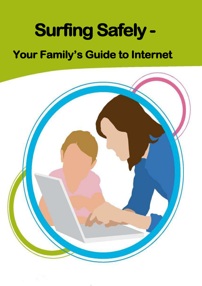# **Surfing Safely -**

# **Your Family's Guide to Internet**

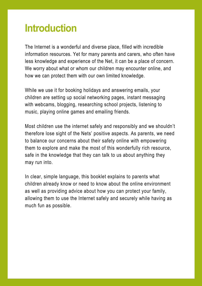# **Introduction**

The Internet is a wonderful and diverse place, filled with incredible information resources. Yet for many parents and carers, who often have less knowledge and experience of the Net, it can be a place of concern. We worry about what or whom our children may encounter online, and how we can protect them with our own limited knowledge.

While we use it for booking holidays and answering emails, your children are setting up social networking pages, instant messaging with webcams, blogging, researching school projects, listening to music, playing online games and emailing friends.

Most children use the internet safely and responsibly and we shouldn't therefore lose sight of the Nets' positive aspects. As parents, we need to balance our concerns about their safety online with empowering them to explore and make the most of this wonderfully rich resource, safe in the knowledge that they can talk to us about anything they may run into.

In clear, simple language, this booklet explains to parents what children already know or need to know about the online environment as well as providing advice about how you can protect your family, allowing them to use the Internet safely and securely while having as much fun as possible.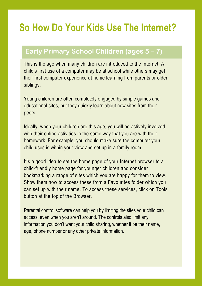# **So How Do Your Kids Use The Internet?**

### **Early Primary School Children (ages 5-7) Early Primary School Children (ages 5 – 7)**

This is the age when many children are introduced to the Internet. A child's first use of a computer may be at school while others may get their first computer experience at home learning from parents or older siblings.

Young children are often completely engaged by simple games and educational sites, but they quickly learn about new sites from their peers.

Ideally, when your children are this age, you will be actively involved with their online activities in the same way that you are with their homework. For example, you should make sure the computer your child uses is within your view and set up in a family room.

It's a good idea to set the home page of your Internet browser to a child-friendly home page for younger children and consider bookmarking a range of sites which you are happy for them to view. Show them how to access these from a Favourites folder which you can set up with their name. To access these services, click on Tools button at the top of the Browser.

Parental control software can help you by limiting the sites your child can access, even when you aren't around. The controls also limit any information you don't want your child sharing, whether it be their name, age, phone number or any other private information.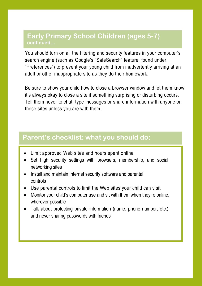#### **Early Primary School Children (ages 5-7) continued…**

**Early Primary School Children (ages 5-7) continued...**

You should turn on all the filtering and security features in your computer's search engine (such as Google's "SafeSearch" feature, found under "Preferences") to prevent your young child from inadvertently arriving at an adult or other inappropriate site as they do their homework.

Be sure to show your child how to close a browser window and let them know it's always okay to close a site if something surprising or disturbing occurs. Tell them never to chat, type messages or share information with anyone on these sites unless you are with them.

#### **Parent's checklist: what you should do:**

- Limit approved Web sites and hours spent online
- Set high security settings with browsers, membership, and social networking sites
- Install and maintain Internet security software and parental controls
- Use parental controls to limit the Web sites your child can visit
- Monitor your child's computer use and sit with them when they're online, wherever possible
- Talk about protecting private information (name, phone number, etc.) and never sharing passwords with friends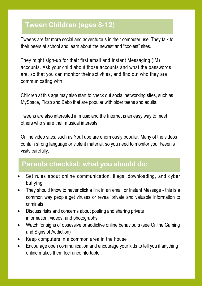# **Tween Children (ages 8-12) Tween Children (ages 8-12)**

Tweens are far more social and adventurous in their computer use. They talk to their peers at school and learn about the newest and "coolest" sites.

They might sign-up for their first email and Instant Messaging (IM) accounts. Ask your child about those accounts and what the passwords are, so that you can monitor their activities, and find out who they are communicating with.

Children at this age may also start to check out social networking sites, such as MySpace, Piczo and Bebo that are popular with older teens and adults.

Tweens are also interested in music and the Internet is an easy way to meet others who share their musical interests.

Online video sites, such as YouTube are enormously popular. Many of the videos contain strong language or violent material, so you need to monitor your tween's visits carefully.

#### **Parents' checklist: what you should do: Parents checklist: what you should do:**

- Set rules about online communication, illegal downloading, and cyber bullying
- They should know to never click a link in an email or Instant Message this is a common way people get viruses or reveal private and valuable information to criminals
- Discuss risks and concerns about posting and sharing private information, videos, and photographs
- Watch for signs of obsessive or addictive online behaviours (see Online Gaming and Signs of Addiction)
- Keep computers in a common area in the house
- Encourage open communication and encourage your kids to tell you if anything online makes them feel uncomfortable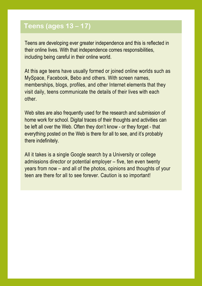#### **Teens (ages 13 – 17) Teens (ages 13 – 17)**

Teens are developing ever greater independence and this is reflected in their online lives. With that independence comes responsibilities, including being careful in their online world.

At this age teens have usually formed or joined online worlds such as MySpace, Facebook, Bebo and others. With screen names, memberships, blogs, profiles, and other Internet elements that they visit daily, teens communicate the details of their lives with each other.

Web sites are also frequently used for the research and submission of home work for school. Digital traces of their thoughts and activities can be left all over the Web. Often they don't know - or they forget - that everything posted on the Web is there for all to see, and it's probably there indefinitely.

All it takes is a single Google search by a University or college admissions director or potential employer – five, ten even twenty years from now – and all of the photos, opinions and thoughts of your teen are there for all to see forever. Caution is so important!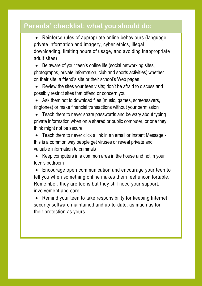#### **Parents' checklist: what you should do:**

 Reinforce rules of appropriate online behaviours (language, private information and imagery, cyber ethics, illegal downloading, limiting hours of usage, and avoiding inappropriate adult sites)

 Be aware of your teen's online life (social networking sites, photographs, private information, club and sports activities) whether on their site, a friend's site or their school's Web pages

 Review the sites your teen visits; don't be afraid to discuss and possibly restrict sites that offend or concern you

 Ask them not to download files (music, games, screensavers, ringtones) or make financial transactions without your permission

 Teach them to never share passwords and be wary about typing private information when on a shared or public computer, or one they think might not be secure

 Teach them to never click a link in an email or Instant Message this is a common way people get viruses or reveal private and valuable information to criminals

 Keep computers in a common area in the house and not in your teen's bedroom

 Encourage open communication and encourage your teen to tell you when something online makes them feel uncomfortable. Remember, they are teens but they still need your support, involvement and care

 Remind your teen to take responsibility for keeping Internet security software maintained and up-to-date, as much as for their protection as yours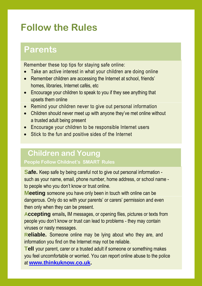# **Follow the Rules**

# **Parents Parents**

Remember these top tips for staying safe online:

- Take an active interest in what your children are doing online
- Remember children are accessing the Internet at school, friends' homes, libraries, Internet cafés, etc
- Encourage your children to speak to you if they see anything that upsets them online
- Remind your children never to give out personal information
- Children should never meet up with anyone they've met online without a trusted adult being present
- Encourage your children to be responsible Internet users
- Stick to the fun and positive sides of the Internet

### **Children and Young**

**People Follow Childnet's SMART Rules**

**Safe.** Keep safe by being careful not to give out personal information such as your name, email, phone number, home address, or school name to people who you don't know or trust online.

**Meeting** someone you have only been in touch with online can be dangerous. Only do so with your parents' or carers' permission and even then only when they can be present.

**Accepting** emails**,** IM messages, or opening files, pictures or texts from people you don't know or trust can lead to problems - they may contain viruses or nasty messages.

**Reliable.** Someone online may be lying about who they are, and information you find on the Internet may not be reliable.

**Tell** your parent, carer or a trusted adult if someone or something makes you feel uncomfortable or worried. You can report online abuse to the police at **www.thinkuknow.co.uk.**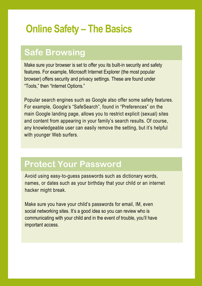# **Online Safety – The Basics**

# **Safe Browsing**

Make sure your browser is set to offer you its built-in security and safety features. For example, Microsoft Internet Explorer (the most popular browser) offers security and privacy settings. These are found under "Tools," then "Internet Options."

Popular search engines such as Google also offer some safety features. For example, Google's "SafeSearch", found in "Preferences" on the main Google landing page, allows you to restrict explicit (sexual) sites and content from appearing in your family's search results. Of course, any knowledgeable user can easily remove the setting, but it's helpful with younger Web surfers.

# **Protect Your Password Protect Your Password**

Avoid using easy-to-guess passwords such as dictionary words, names, or dates such as your birthday that your child or an internet hacker might break.

Make sure you have your child's passwords for email, IM, even social networking sites. It's a good idea so you can review who is communicating with your child and in the event of trouble, you'll have important access.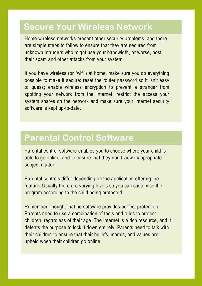# **Secure Your Wireless Network Secure Your Wireless Network**

Home wireless networks present other security problems, and there are simple steps to follow to ensure that they are secured from unknown intruders who might use your bandwidth, or worse, host their spam and other attacks from your system.

If you have wireless (or "wifi") at home, make sure you do everything possible to make it secure: reset the router password so it isn't easy to guess; enable wireless encryption to prevent a stranger from spotting your network from the Internet; restrict the access your system shares on the network and make sure your Internet security software is kept up-to-date.

### **Parental Control Software Parental Control Software**

Parental control software enables you to choose where your child is able to go online, and to ensure that they don't view inappropriate subject matter.

Parental controls differ depending on the application offering the feature. Usually there are varying levels so you can customise the program according to the child being protected.

Remember, though, that no software provides perfect protection. Parents need to use a combination of tools and rules to protect children, regardless of their age. The Internet is a rich resource, and it defeats the purpose to lock it down entirely. Parents need to talk with their children to ensure that their beliefs, morals, and values are upheld when their children go online.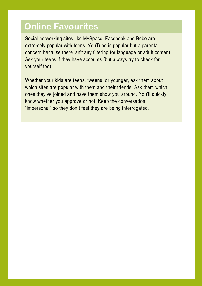# **Online Favourites**

Social networking sites like MySpace, Facebook and Bebo are extremely popular with teens. YouTube is popular but a parental concern because there isn't any filtering for language or adult content. Ask your teens if they have accounts (but always try to check for yourself too).

Whether your kids are teens, tweens, or younger, ask them about which sites are popular with them and their friends. Ask them which ones they've joined and have them show you around. You'll quickly know whether you approve or not. Keep the conversation "impersonal" so they don't feel they are being interrogated.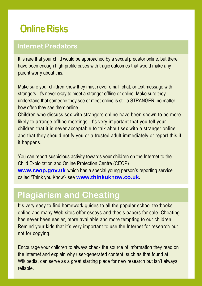# **Online Risks**

#### **Internet Predators Internet Predators**

It is rare that your child would be approached by a sexual predator online, but there have been enough high-profile cases with tragic outcomes that would make any parent worry about this.

Make sure your children know they must never email, chat, or text message with strangers. It's never okay to meet a stranger offline or online. Make sure they understand that someone they see or meet online is still a STRANGER, no matter how often they see them online.

Children who discuss sex with strangers online have been shown to be more likely to arrange offline meetings. It's very important that you tell your children that it is never acceptable to talk about sex with a stranger online and that they should notify you or a trusted adult immediately or report this if it happens.

You can report suspicious activity towards your children on the Internet to the Child Exploitation and Online Protection Centre (CEOP) **www.ceop.gov.uk** which has a special young person's reporting service called 'Think you Know'- see **www.thinkuknow.co.uk.**

# **Plagiarism and Cheating Plagiarism and Cheating**

It's very easy to find homework guides to all the popular school textbooks online and many Web sites offer essays and thesis papers for sale. Cheating has never been easier, more available and more tempting to our children. Remind your kids that it's very important to use the Internet for research but not for copying.

Encourage your children to always check the source of information they read on the Internet and explain why user-generated content, such as that found at Wikipedia, can serve as a great starting place for new research but isn't always reliable.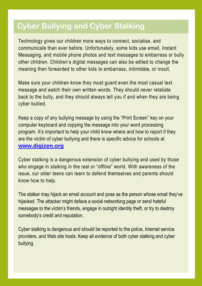# **Cyber Bullying and Cyber Stalking Cyber Bullying and Cyber Stalking**

Technology gives our children more ways to connect, socialise, and communicate than ever before. Unfortunately, some kids use email, Instant Messaging, and mobile phone photos and text messages to embarrass or bully other children. Children's digital messages can also be edited to change the meaning then forwarded to other kids to embarrass, intimidate, or insult.

Make sure your children know they must guard even the most casual text message and watch their own written words. They should never retaliate back to the bully, and they should always tell you if and when they are being cyber bullied.

Keep a copy of any bullying message by using the "Print Screen" key on your computer keyboard and copying the message into your word processing program. It's important to help your child know where and how to report if they are the victim of cyber bullying and there is specific advice for schools at **www.digizen.org**

Cyber stalking is a dangerous extension of cyber bullying and used by those who engage in stalking in the real or "offline" world. With awareness of the issue, our older teens can learn to defend themselves and parents should know how to help.

The stalker may hijack an email account and pose as the person whose email they've hijacked. The attacker might deface a social networking page or send hateful messages to the victim's friends, engage in outright identity theft, or try to destroy somebody's credit and reputation.

Cyber stalking is dangerous and should be reported to the police, Internet service providers, and Web site hosts. Keep all evidence of both cyber stalking and cyber bullying.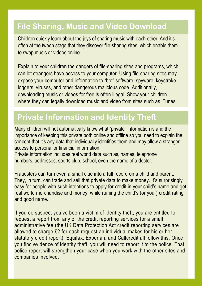### **File Sharing, Music and Video Download File Sharing, Music and Video Download**

Children quickly learn about the joys of sharing music with each other. And it's often at the tween stage that they discover file-sharing sites, which enable them to swap music or videos online.

Explain to your children the dangers of file-sharing sites and programs, which can let strangers have access to your computer. Using file-sharing sites may expose your computer and information to "bot" software, spyware, keystroke loggers, viruses, and other dangerous malicious code. Additionally, downloading music or videos for free is often illegal. Show your children where they can legally download music and video from sites such as iTunes.

## **Private Information and Identity Theft Private Information and Identity Theft**

Many children will not automatically know what "private" information is and the importance of keeping this private both online and offline so you need to explain the concept that it's any data that individually identifies them and may allow a stranger access to personal or financial information.

Private information includes real world data such as, names, telephone numbers, addresses, sports club, school, even the name of a doctor.

Fraudsters can turn even a small clue into a full record on a child and parent. They, in turn, can trade and sell that private data to make money. It's surprisingly easy for people with such intentions to apply for credit in your child's name and get real world merchandise and money, while ruining the child's (or your) credit rating and good name.

If you do suspect you've been a victim of identity theft, you are entitled to request a report from any of the credit reporting services for a small administrative fee (the UK Data Protection Act credit reporting services are allowed to charge £2 for each request an individual makes for his or her statutory credit report): Equifax, Experian, and Callcredit all follow this. Once you find evidence of identity theft, you will need to report it to the police. That police report will strengthen your case when you work with the other sites and companies involved.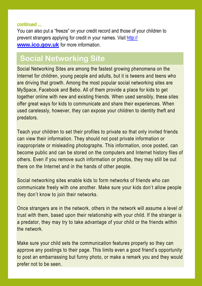#### **continued ....**

You can also put a "freeze" on your credit record and those of your children to prevent strangers applying for credit in your names. Visit http:// **www.ico.gov.uk** for more information.

#### $\overline{\mathbf{c}}$ **ocial Networking Sites Social Networking Site**

Social Networking Sites are among the fastest growing phenomena on the Internet for children, young people and adults, but it is tweens and teens who are driving that growth. Among the most popular social networking sites are MySpace, Facebook and Bebo. All of them provide a place for kids to get together online with new and existing friends. When used sensibly, these sites offer great ways for kids to communicate and share their experiences. When used carelessly, however, they can expose your children to identity theft and predators.

Teach your children to set their profiles to private so that only invited friends can view their information. They should not post private information or inappropriate or misleading photographs. This information, once posted, can become public and can be stored on the computers and Internet history files of others. Even if you remove such information or photos, they may still be out there on the Internet and in the hands of other people.

Social networking sites enable kids to form networks of friends who can communicate freely with one another. Make sure your kids don't allow people they don't know to join their networks.

Once strangers are in the network, others in the network will assume a level of trust with them, based upon their relationship with your child. If the stranger is a predator, they may try to take advantage of your child or the friends within the network.

Make sure your child sets the communication features properly so they can approve any postings to their page. This limits even a good friend's opportunity to post an embarrassing but funny photo, or make a remark you and they would prefer not to be seen.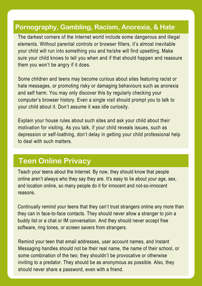#### **Pornography, Gambling, Racism, Anorexia, & Hate**

**Sites** The darkest corners of the Internet world include some dangerous and illegal elements. Without parental controls or browser filters, it's almost inevitable your child will run into something you and he/she will find upsetting. Make sure your child knows to tell you when and if that should happen and reassure them you won't be angry if it does.

Some children and teens may become curious about sites featuring racist or hate messages, or promoting risky or damaging behaviours such as anorexia and self harm. You may only discover this by regularly checking your computer's browser history. Even a single visit should prompt you to talk to your child about it. Don't assume it was idle curiosity.

Explain your house rules about such sites and ask your child about their motivation for visiting. As you talk, if your child reveals issues, such as depression or self-loathing, don't delay in getting your child professional help to deal with such matters.

#### **Teen Online Privacy**

Teach your teens about the Internet. By now, they should know that people online aren't always who they say they are. It's easy to lie about your age, sex, and location online, so many people do it for innocent and not-so-innocent reasons.

Continually remind your teens that they can't trust strangers online any more than they can in face-to-face contacts. They should never allow a stranger to join a buddy list or a chat or IM conversation. And they should never accept free software, ring tones, or screen savers from strangers.

Remind your teen that email addresses, user account names, and Instant Messaging handles should not be their real name, the name of their school, or some combination of the two; they shouldn't be provocative or otherwise inviting to a predator. They should be as anonymous as possible. Also, they should never share a password, even with a friend.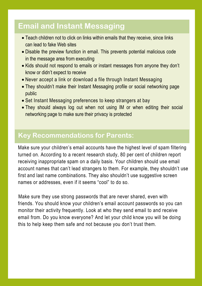### **Email and Instant Messaging**

- Teach children not to click on links within emails that they receive, since links can lead to fake Web sites
- Disable the preview function in email. This prevents potential malicious code in the message area from executing
- Kids should not respond to emails or instant messages from anyone they don't know or didn't expect to receive
- Never accept a link or download a file through Instant Messaging
- They shouldn't make their Instant Messaging profile or social networking page public
- Set Instant Messaging preferences to keep strangers at bay
- They should always log out when not using IM or when editing their social networking page to make sure their privacy is protected

#### **Key Recommendations for Parents:**

Make sure your children's email accounts have the highest level of spam filtering turned on. According to a recent research study, 80 per cent of children report receiving inappropriate spam on a daily basis. Your children should use email account names that can't lead strangers to them. For example, they shouldn't use first and last name combinations. They also shouldn't use suggestive screen names or addresses, even if it seems "cool" to do so.

Make sure they use strong passwords that are never shared, even with friends. You should know your children's email account passwords so you can monitor their activity frequently. Look at who they send email to and receive email from. Do you know everyone? And let your child know you will be doing this to help keep them safe and not because you don't trust them.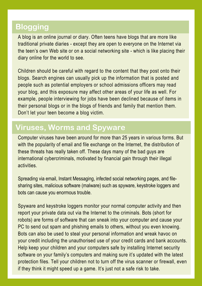### **Blogging**

A blog is an online journal or diary. Often teens have blogs that are more like traditional private diaries - except they are open to everyone on the Internet via the teen's own Web site or on a social networking site - which is like placing their diary online for the world to see.

Children should be careful with regard to the content that they post onto their blogs. Search engines can usually pick up the information that is posted and people such as potential employers or school admissions officers may read your blog, and this exposure may affect other areas of your life as well. For example, people interviewing for jobs have been declined because of items in their personal blogs or in the blogs of friends and family that mention them. Don't let your teen become a blog victim.

### **Viruses, Worms, and Spyware Viruses, Worms and Spyware**

Computer viruses have been around for more than 25 years in various forms. But with the popularity of email and file exchange on the Internet, the distribution of these threats has really taken off. These days many of the bad guys are international cybercriminals, motivated by financial gain through their illegal activities.

Spreading via email, Instant Messaging, infected social networking pages, and filesharing sites, malicious software (malware) such as spyware, keystroke loggers and bots can cause you enormous trouble.

Spyware and keystroke loggers monitor your normal computer activity and then report your private data out via the Internet to the criminals. Bots (short for robots) are forms of software that can sneak into your computer and cause your PC to send out spam and phishing emails to others, without you even knowing. Bots can also be used to steal your personal information and wreak havoc on your credit including the unauthorised use of your credit cards and bank accounts. Help keep your children and your computers safe by installing Internet security software on your family's computers and making sure it's updated with the latest protection files. Tell your children not to turn off the virus scanner or firewall, even if they think it might speed up a game. It's just not a safe risk to take.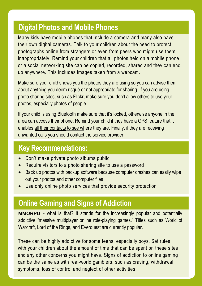### **Digital Photos and Mobile Phones**

Many kids have mobile phones that include a camera and many also have their own digital cameras. Talk to your children about the need to protect photographs online from strangers or even from peers who might use them inappropriately. Remind your children that all photos held on a mobile phone or a social networking site can be copied, recorded, shared and they can end up anywhere. This includes images taken from a webcam.

Make sure your child shows you the photos they are using so you can advise them about anything you deem risqué or not appropriate for sharing. If you are using photo sharing sites, such as Flickr, make sure you don't allow others to use your photos, especially photos of people.

If your child is using Bluetooth make sure that it's locked, otherwise anyone in the area can access their phone. Remind your child if they have a GPS feature that it enables all their contacts to see where they are. Finally, if they are receiving unwanted calls you should contact the service provider.

### **Key Recommendations:**

- Don't make private photo albums public
- Require visitors to a photo sharing site to use a password
- Back up photos with backup software because computer crashes can easily wipe out your photos and other computer files
- Use only online photo services that provide security protection

### **Online Gaming and Signs of Addiction**

**MMORPG** - what is that? It stands for the increasingly popular and potentially addictive "massive multiplayer online role-playing games." Titles such as World of Warcraft, Lord of the Rings, and Everquest are currently popular.

These can be highly addictive for some teens, especially boys. Set rules with your children about the amount of time that can be spent on these sites and any other concerns you might have. Signs of addiction to online gaming can be the same as with real-world gamblers, such as craving, withdrawal symptoms, loss of control and neglect of other activities.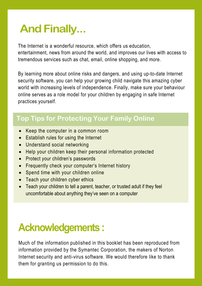# **And Finally...**

The Internet is a wonderful resource, which offers us education, entertainment, news from around the world, and improves our lives with access to tremendous services such as chat, email, online shopping, and more.

By learning more about online risks and dangers, and using up-to-date Internet security software, you can help your growing child navigate this amazing cyber world with increasing levels of independence. Finally, make sure your behaviour online serves as a role model for your children by engaging in safe Internet practices yourself.

### **Top Tips for Protecting Your Family Online Top Tips for Protecting Your Family Online**

- Keep the computer in a common room
- **Establish rules for using the Internet**
- Understand social networking
- Help your children keep their personal information protected
- Protect your children's passwords
- Frequently check your computer's Internet history
- Spend time with your children online
- Teach your children cyber ethics
- Teach your children to tell a parent, teacher, or trusted adult if they feel uncomfortable about anything they've seen on a computer

# **Acknowledgements :**

Much of the information published in this booklet has been reproduced from information provided by the Symantec Corporation, the makers of Norton Internet security and anti-virus software. We would therefore like to thank them for granting us permission to do this.